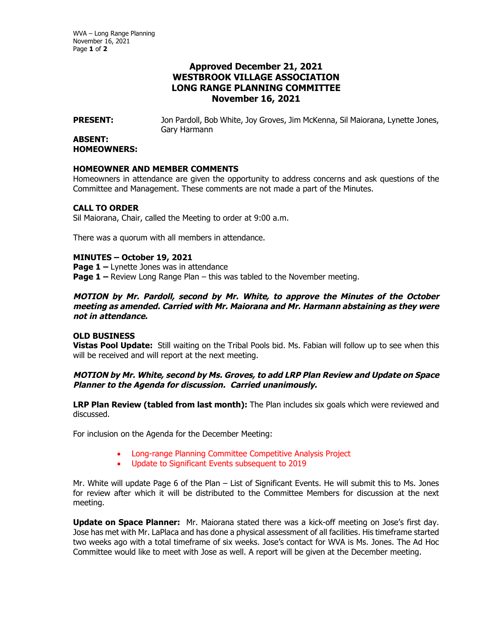WVA – Long Range Planning November 16, 2021 Page **1** of **2**

# **Approved December 21, 2021 WESTBROOK VILLAGE ASSOCIATION LONG RANGE PLANNING COMMITTEE November 16, 2021**

**PRESENT:** Jon Pardoll, Bob White, Joy Groves, Jim McKenna, Sil Maiorana, Lynette Jones, Gary Harmann

#### **ABSENT: HOMEOWNERS:**

#### **HOMEOWNER AND MEMBER COMMENTS**

Homeowners in attendance are given the opportunity to address concerns and ask questions of the Committee and Management. These comments are not made a part of the Minutes.

### **CALL TO ORDER**

Sil Maiorana, Chair, called the Meeting to order at 9:00 a.m.

There was a quorum with all members in attendance.

# **MINUTES – October 19, 2021**

**Page 1 –** Lynette Jones was in attendance

**Page 1 –** Review Long Range Plan – this was tabled to the November meeting.

**MOTION by Mr. Pardoll, second by Mr. White, to approve the Minutes of the October meeting as amended. Carried with Mr. Maiorana and Mr. Harmann abstaining as they were not in attendance.** 

# **OLD BUSINESS**

**Vistas Pool Update:** Still waiting on the Tribal Pools bid. Ms. Fabian will follow up to see when this will be received and will report at the next meeting.

# **MOTION by Mr. White, second by Ms. Groves, to add LRP Plan Review and Update on Space Planner to the Agenda for discussion. Carried unanimously.**

**LRP Plan Review (tabled from last month):** The Plan includes six goals which were reviewed and discussed.

For inclusion on the Agenda for the December Meeting:

- Long-range Planning Committee Competitive Analysis Project
- Update to Significant Events subsequent to 2019

Mr. White will update Page 6 of the Plan – List of Significant Events. He will submit this to Ms. Jones for review after which it will be distributed to the Committee Members for discussion at the next meeting.

**Update on Space Planner:** Mr. Maiorana stated there was a kick-off meeting on Jose's first day. Jose has met with Mr. LaPlaca and has done a physical assessment of all facilities. His timeframe started two weeks ago with a total timeframe of six weeks. Jose's contact for WVA is Ms. Jones. The Ad Hoc Committee would like to meet with Jose as well. A report will be given at the December meeting.